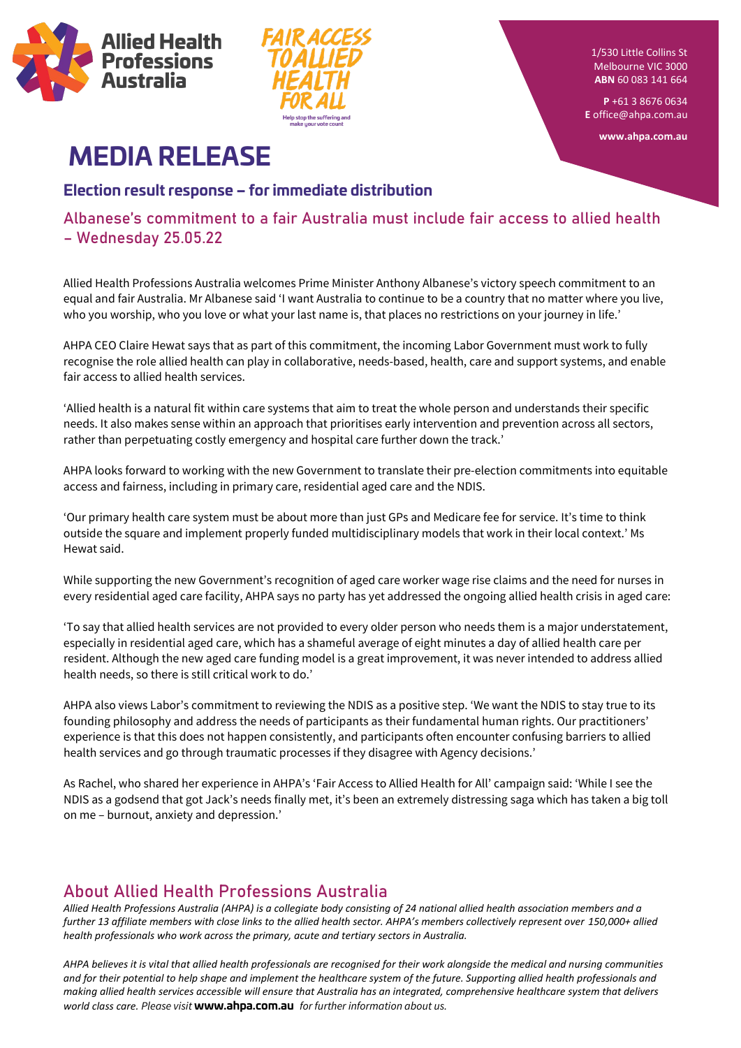



1/530 Little Collins St Melbourne VIC 3000 **ABN** 60 083 141 664

**P** +61 3 8676 0634 **E** [office@ahpa.com.au](mailto:office@ahpa.com.au)

**www.ahpa.com.au**

## **MEDIA RELEASE**

**Election result response – for immediate distribution**

Albanese's commitment to a fair Australia must include fair access to allied health – Wednesday 25.05.22

Allied Health Professions Australia welcomes Prime Minister Anthony Albanese's victory speech commitment to an equal and fair Australia. Mr Albanese said 'I want Australia to continue to be a country that no matter where you live, who you worship, who you love or what your last name is, that places no restrictions on your journey in life.'

AHPA CEO Claire Hewat says that as part of this commitment, the incoming Labor Government must work to fully recognise the role allied health can play in collaborative, needs-based, health, care and support systems, and enable fair access to allied health services.

'Allied health is a natural fit within care systems that aim to treat the whole person and understands their specific needs. It also makes sense within an approach that prioritises early intervention and prevention across all sectors, rather than perpetuating costly emergency and hospital care further down the track.'

AHPA looks forward to working with the new Government to translate their pre-election commitments into equitable access and fairness, including in primary care, residential aged care and the NDIS.

'Our primary health care system must be about more than just GPs and Medicare fee for service. It's time to think outside the square and implement properly funded multidisciplinary models that work in their local context.' Ms Hewat said.

While supporting the new Government's recognition of aged care worker wage rise claims and the need for nurses in every residential aged care facility, AHPA says no party has yet addressed the ongoing allied health crisis in aged care:

'To say that allied health services are not provided to every older person who needs them is a major understatement, especially in residential aged care, which has a shameful average of eight minutes a day of allied health care per resident. Although the new aged care funding model is a great improvement, it was never intended to address allied health needs, so there is still critical work to do.'

AHPA also views Labor's commitment to reviewing the NDIS as a positive step. 'We want the NDIS to stay true to its founding philosophy and address the needs of participants as their fundamental human rights. Our practitioners' experience is that this does not happen consistently, and participants often encounter confusing barriers to allied health services and go through traumatic processes if they disagree with Agency decisions.'

As Rachel, who shared her experience in AHPA's 'Fair Access to Allied Health for All' campaign said: 'While I see the NDIS as a godsend that got Jack's needs finally met, it's been an extremely distressing saga which has taken a big toll on me – burnout, anxiety and depression.'

## About Allied Health Professions Australia

*Allied Health Professions Australia (AHPA) is a collegiate body consisting of 24 national allied health association members and a further 13 affiliate members with close links to the allied health sector. AHPA's members collectively represent over 150,000+ allied health professionals who work across the primary, acute and tertiary sectors in Australia.* 

*AHPA believes it is vital that allied health professionals are recognised for their work alongside the medical and nursing communities and for their potential to help shape and implement the healthcare system of the future. Supporting allied health professionals and making allied health services accessible will ensure that Australia has an integrated, comprehensive healthcare system that delivers world class care. Please visit* **[www.ahpa.com.au](https://ahpa.com.au/)** *for further information about us.*